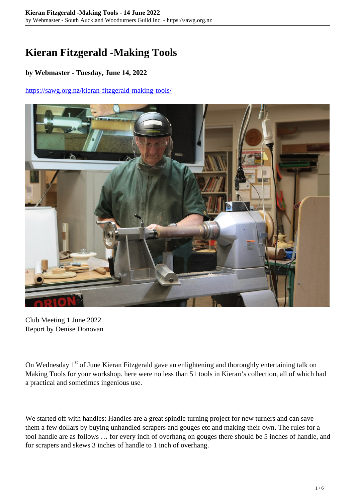## **Kieran Fitzgerald -Making Tools**

## **by Webmaster - Tuesday, June 14, 2022**

## <https://sawg.org.nz/kieran-fitzgerald-making-tools/>



Club Meeting 1 June 2022 Report by Denise Donovan

On Wednesday 1<sup>st</sup> of June Kieran Fitzgerald gave an enlightening and thoroughly entertaining talk on Making Tools for your workshop. here were no less than 51 tools in Kieran's collection, all of which had a practical and sometimes ingenious use.

We started off with handles: Handles are a great spindle turning project for new turners and can save them a few dollars by buying unhandled scrapers and gouges etc and making their own. The rules for a tool handle are as follows … for every inch of overhang on gouges there should be 5 inches of handle, and for scrapers and skews 3 inches of handle to 1 inch of overhang.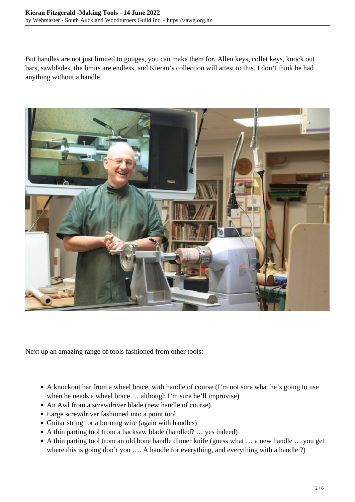But handles are not just limited to gouges, you can make them for, Allen keys, collet keys, knock out bars, sawblades, the limits are endless, and Kieran's collection will attest to this. I don't think he had anything without a handle.



Next up an amazing range of tools fashioned from other tools:

- A knockout bar from a wheel brace, with handle of course (I'm not sure what he's going to use when he needs a wheel brace ... although I'm sure he'll improvise)
- An Awl from a screwdriver blade (new handle of course)
- Large screwdriver fashioned into a point tool
- Guitar string for a burning wire (again with handles)
- A thin parting tool from a hacksaw blade (handled? … yes indeed)
- A thin parting tool from an old bone handle dinner knife (guess what … a new handle … you get where this is going don't you .... A handle for everything, and everything with a handle ?)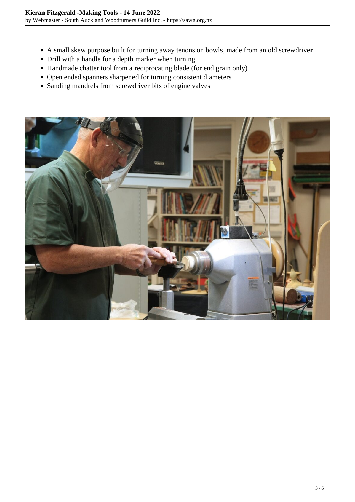- A small skew purpose built for turning away tenons on bowls, made from an old screwdriver
- Drill with a handle for a depth marker when turning
- Handmade chatter tool from a reciprocating blade (for end grain only)
- Open ended spanners sharpened for turning consistent diameters
- Sanding mandrels from screwdriver bits of engine valves

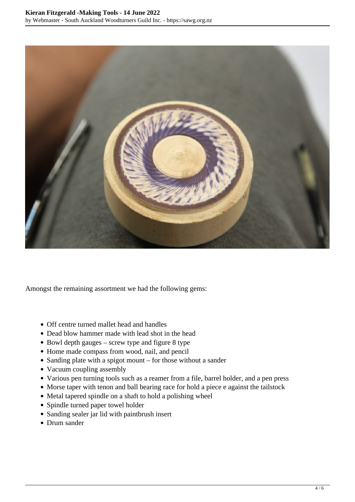

Amongst the remaining assortment we had the following gems:

## • Off centre turned mallet head and handles

- Dead blow hammer made with lead shot in the head
- $\bullet$  Bowl depth gauges screw type and figure 8 type
- Home made compass from wood, nail, and pencil
- Sanding plate with a spigot mount for those without a sander
- Vacuum coupling assembly
- Various pen turning tools such as a reamer from a file, barrel holder, and a pen press
- Morse taper with tenon and ball bearing race for hold a piece e against the tailstock
- Metal tapered spindle on a shaft to hold a polishing wheel
- Spindle turned paper towel holder
- Sanding sealer jar lid with paintbrush insert
- Drum sander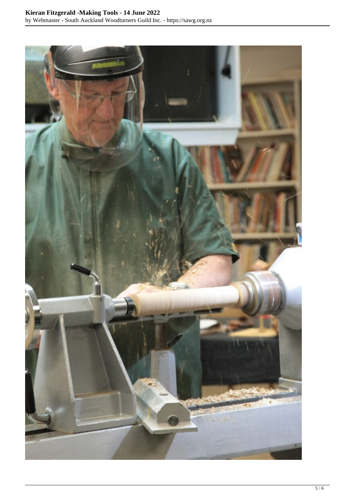